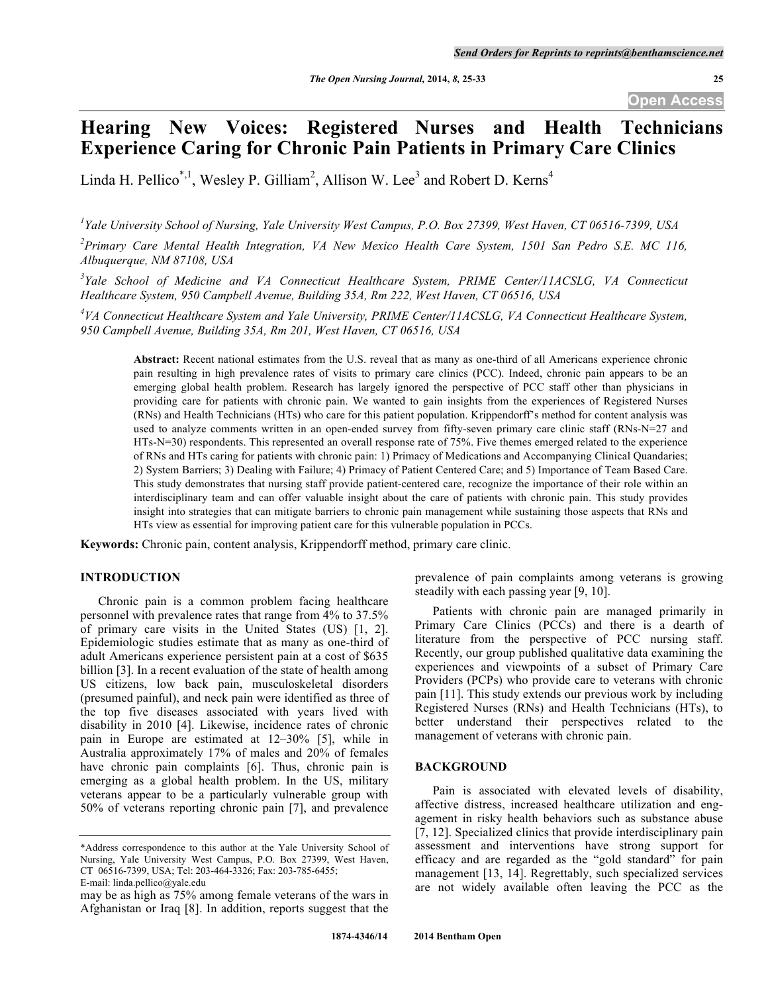# **Hearing New Voices: Registered Nurses and Health Technicians Experience Caring for Chronic Pain Patients in Primary Care Clinics**

Linda H. Pellico<sup>\*,1</sup>, Wesley P. Gilliam<sup>2</sup>, Allison W. Lee<sup>3</sup> and Robert D. Kerns<sup>4</sup>

*1 Yale University School of Nursing, Yale University West Campus, P.O. Box 27399, West Haven, CT 06516-7399, USA*

*2 Primary Care Mental Health Integration, VA New Mexico Health Care System, 1501 San Pedro S.E. MC 116, Albuquerque, NM 87108, USA*

<sup>3</sup>Yale School of Medicine and VA Connecticut Healthcare System, PRIME Center/11ACSLG, VA Connecticut *Healthcare System, 950 Campbell Avenue, Building 35A, Rm 222, West Haven, CT 06516, USA*

<sup>4</sup>VA Connecticut Healthcare System and Yale University, PRIME Center/11ACSLG, VA Connecticut Healthcare System, *950 Campbell Avenue, Building 35A, Rm 201, West Haven, CT 06516, USA*

**Abstract:** Recent national estimates from the U.S. reveal that as many as one-third of all Americans experience chronic pain resulting in high prevalence rates of visits to primary care clinics (PCC). Indeed, chronic pain appears to be an emerging global health problem. Research has largely ignored the perspective of PCC staff other than physicians in providing care for patients with chronic pain. We wanted to gain insights from the experiences of Registered Nurses (RNs) and Health Technicians (HTs) who care for this patient population. Krippendorff's method for content analysis was used to analyze comments written in an open-ended survey from fifty-seven primary care clinic staff (RNs-N=27 and HTs-N=30) respondents. This represented an overall response rate of 75%. Five themes emerged related to the experience of RNs and HTs caring for patients with chronic pain: 1) Primacy of Medications and Accompanying Clinical Quandaries; 2) System Barriers; 3) Dealing with Failure; 4) Primacy of Patient Centered Care; and 5) Importance of Team Based Care. This study demonstrates that nursing staff provide patient-centered care, recognize the importance of their role within an interdisciplinary team and can offer valuable insight about the care of patients with chronic pain. This study provides insight into strategies that can mitigate barriers to chronic pain management while sustaining those aspects that RNs and HTs view as essential for improving patient care for this vulnerable population in PCCs.

**Keywords:** Chronic pain, content analysis, Krippendorff method, primary care clinic.

# **INTRODUCTION**

Chronic pain is a common problem facing healthcare personnel with prevalence rates that range from 4% to 37.5% of primary care visits in the United States (US) [1, 2]. Epidemiologic studies estimate that as many as one-third of adult Americans experience persistent pain at a cost of \$635 billion [3]. In a recent evaluation of the state of health among US citizens, low back pain, musculoskeletal disorders (presumed painful), and neck pain were identified as three of the top five diseases associated with years lived with disability in 2010 [4]. Likewise, incidence rates of chronic pain in Europe are estimated at 12–30% [5], while in Australia approximately 17% of males and 20% of females have chronic pain complaints [6]. Thus, chronic pain is emerging as a global health problem. In the US, military veterans appear to be a particularly vulnerable group with 50% of veterans reporting chronic pain [7], and prevalence prevalence of pain complaints among veterans is growing steadily with each passing year [9, 10].

Patients with chronic pain are managed primarily in Primary Care Clinics (PCCs) and there is a dearth of literature from the perspective of PCC nursing staff. Recently, our group published qualitative data examining the experiences and viewpoints of a subset of Primary Care Providers (PCPs) who provide care to veterans with chronic pain [11]. This study extends our previous work by including Registered Nurses (RNs) and Health Technicians (HTs), to better understand their perspectives related to the management of veterans with chronic pain.

#### **BACKGROUND**

Pain is associated with elevated levels of disability, affective distress, increased healthcare utilization and engagement in risky health behaviors such as substance abuse [7, 12]. Specialized clinics that provide interdisciplinary pain assessment and interventions have strong support for efficacy and are regarded as the "gold standard" for pain management [13, 14]. Regrettably, such specialized services are not widely available often leaving the PCC as the

<sup>\*</sup>Address correspondence to this author at the Yale University School of Nursing, Yale University West Campus, P.O. Box 27399, West Haven, CT 06516-7399, USA; Tel: 203-464-3326; Fax: 203-785-6455; E-mail: linda.pellico@yale.edu

may be as high as 75% among female veterans of the wars in Afghanistan or Iraq [8]. In addition, reports suggest that the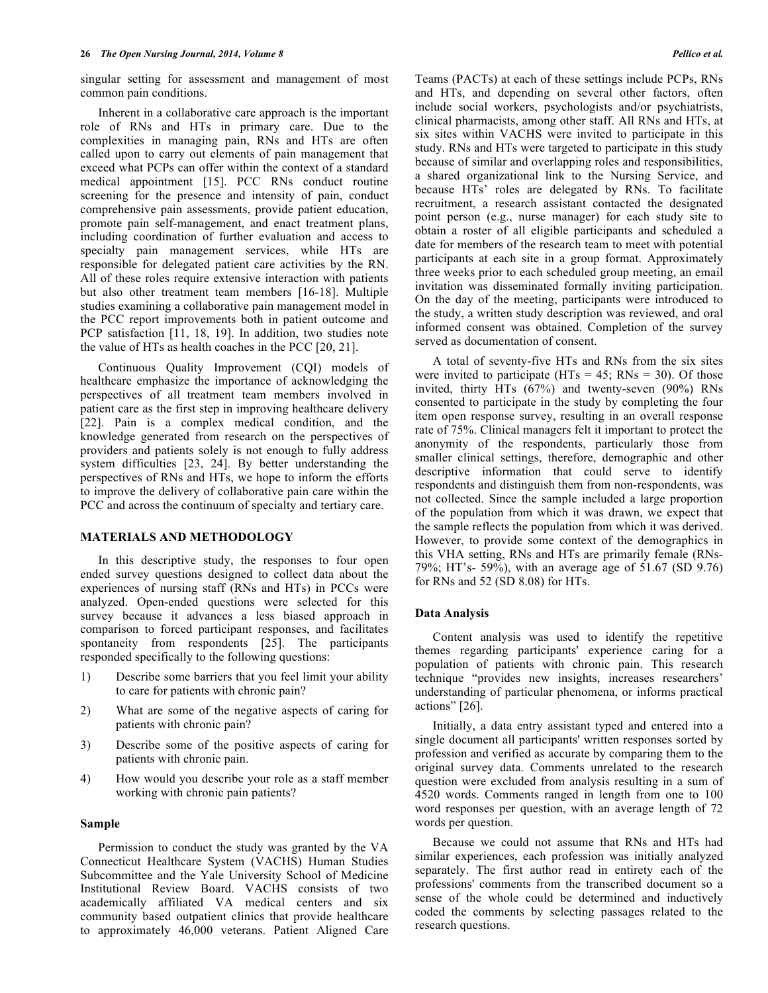singular setting for assessment and management of most common pain conditions.

Inherent in a collaborative care approach is the important role of RNs and HTs in primary care. Due to the complexities in managing pain, RNs and HTs are often called upon to carry out elements of pain management that exceed what PCPs can offer within the context of a standard medical appointment [15]. PCC RNs conduct routine screening for the presence and intensity of pain, conduct comprehensive pain assessments, provide patient education, promote pain self-management, and enact treatment plans, including coordination of further evaluation and access to specialty pain management services, while HTs are responsible for delegated patient care activities by the RN. All of these roles require extensive interaction with patients but also other treatment team members [16-18]. Multiple studies examining a collaborative pain management model in the PCC report improvements both in patient outcome and PCP satisfaction [11, 18, 19]. In addition, two studies note the value of HTs as health coaches in the PCC [20, 21].

Continuous Quality Improvement (CQI) models of healthcare emphasize the importance of acknowledging the perspectives of all treatment team members involved in patient care as the first step in improving healthcare delivery [22]. Pain is a complex medical condition, and the knowledge generated from research on the perspectives of providers and patients solely is not enough to fully address system difficulties [23, 24]. By better understanding the perspectives of RNs and HTs, we hope to inform the efforts to improve the delivery of collaborative pain care within the PCC and across the continuum of specialty and tertiary care.

#### **MATERIALS AND METHODOLOGY**

In this descriptive study, the responses to four open ended survey questions designed to collect data about the experiences of nursing staff (RNs and HTs) in PCCs were analyzed. Open-ended questions were selected for this survey because it advances a less biased approach in comparison to forced participant responses, and facilitates spontaneity from respondents [25]. The participants responded specifically to the following questions:

- 1) Describe some barriers that you feel limit your ability to care for patients with chronic pain?
- 2) What are some of the negative aspects of caring for patients with chronic pain?
- 3) Describe some of the positive aspects of caring for patients with chronic pain.
- 4) How would you describe your role as a staff member working with chronic pain patients?

#### **Sample**

Permission to conduct the study was granted by the VA Connecticut Healthcare System (VACHS) Human Studies Subcommittee and the Yale University School of Medicine Institutional Review Board. VACHS consists of two academically affiliated VA medical centers and six community based outpatient clinics that provide healthcare to approximately 46,000 veterans. Patient Aligned Care and HTs, and depending on several other factors, often include social workers, psychologists and/or psychiatrists, clinical pharmacists, among other staff. All RNs and HTs, at six sites within VACHS were invited to participate in this study. RNs and HTs were targeted to participate in this study because of similar and overlapping roles and responsibilities, a shared organizational link to the Nursing Service, and because HTs' roles are delegated by RNs. To facilitate recruitment, a research assistant contacted the designated point person (e.g., nurse manager) for each study site to obtain a roster of all eligible participants and scheduled a date for members of the research team to meet with potential participants at each site in a group format. Approximately three weeks prior to each scheduled group meeting, an email invitation was disseminated formally inviting participation. On the day of the meeting, participants were introduced to the study, a written study description was reviewed, and oral informed consent was obtained. Completion of the survey served as documentation of consent.

A total of seventy-five HTs and RNs from the six sites were invited to participate  $(HTs = 45; RNs = 30)$ . Of those invited, thirty HTs (67%) and twenty-seven (90%) RNs consented to participate in the study by completing the four item open response survey, resulting in an overall response rate of 75%. Clinical managers felt it important to protect the anonymity of the respondents, particularly those from smaller clinical settings, therefore, demographic and other descriptive information that could serve to identify respondents and distinguish them from non-respondents, was not collected. Since the sample included a large proportion of the population from which it was drawn, we expect that the sample reflects the population from which it was derived. However, to provide some context of the demographics in this VHA setting, RNs and HTs are primarily female (RNs-79%; HT's- 59%), with an average age of 51.67 (SD 9.76) for RNs and 52 (SD 8.08) for HTs.

#### **Data Analysis**

Content analysis was used to identify the repetitive themes regarding participants' experience caring for a population of patients with chronic pain. This research technique "provides new insights, increases researchers' understanding of particular phenomena, or informs practical actions" [26].

Initially, a data entry assistant typed and entered into a single document all participants' written responses sorted by profession and verified as accurate by comparing them to the original survey data. Comments unrelated to the research question were excluded from analysis resulting in a sum of 4520 words. Comments ranged in length from one to 100 word responses per question, with an average length of 72 words per question.

Because we could not assume that RNs and HTs had similar experiences, each profession was initially analyzed separately. The first author read in entirety each of the professions' comments from the transcribed document so a sense of the whole could be determined and inductively coded the comments by selecting passages related to the research questions.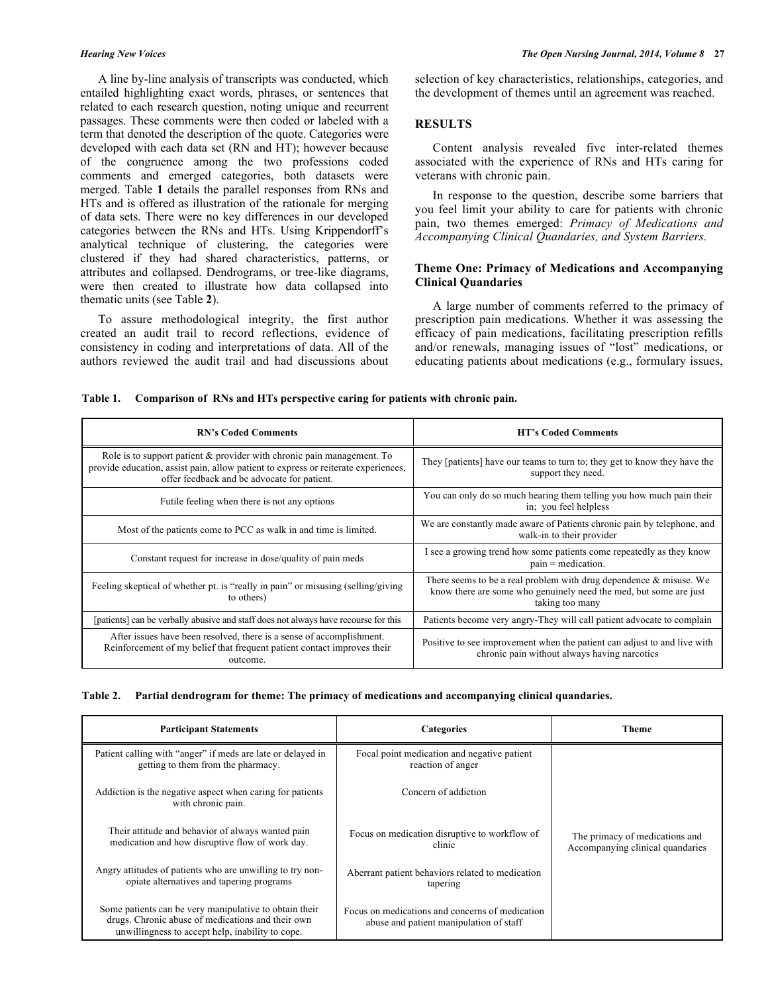A line by-line analysis of transcripts was conducted, which entailed highlighting exact words, phrases, or sentences that related to each research question, noting unique and recurrent passages. These comments were then coded or labeled with a term that denoted the description of the quote. Categories were developed with each data set (RN and HT); however because of the congruence among the two professions coded comments and emerged categories, both datasets were merged. Table **1** details the parallel responses from RNs and HTs and is offered as illustration of the rationale for merging of data sets. There were no key differences in our developed categories between the RNs and HTs. Using Krippendorff's analytical technique of clustering, the categories were clustered if they had shared characteristics, patterns, or attributes and collapsed. Dendrograms, or tree-like diagrams, were then created to illustrate how data collapsed into thematic units (see Table **2**).

To assure methodological integrity, the first author created an audit trail to record reflections, evidence of consistency in coding and interpretations of data. All of the authors reviewed the audit trail and had discussions about selection of key characteristics, relationships, categories, and the development of themes until an agreement was reached.

# **RESULTS**

Content analysis revealed five inter-related themes associated with the experience of RNs and HTs caring for veterans with chronic pain.

In response to the question, describe some barriers that you feel limit your ability to care for patients with chronic pain, two themes emerged: *Primacy of Medications and Accompanying Clinical Quandaries, and System Barriers.*

# **Theme One: Primacy of Medications and Accompanying Clinical Quandaries**

A large number of comments referred to the primacy of prescription pain medications. Whether it was assessing the efficacy of pain medications, facilitating prescription refills and/or renewals, managing issues of "lost" medications, or educating patients about medications (e.g., formulary issues,

|  | Table 1. Comparison of RNs and HTs perspective caring for patients with chronic pain. |  |
|--|---------------------------------------------------------------------------------------|--|
|  |                                                                                       |  |

| <b>RN's Coded Comments</b>                                                                                                                                                                                  | <b>HT's Coded Comments</b>                                                                                                                                    |  |
|-------------------------------------------------------------------------------------------------------------------------------------------------------------------------------------------------------------|---------------------------------------------------------------------------------------------------------------------------------------------------------------|--|
| Role is to support patient & provider with chronic pain management. To<br>provide education, assist pain, allow patient to express or reiterate experiences,<br>offer feedback and be advocate for patient. | They [patients] have our teams to turn to; they get to know they have the<br>support they need.                                                               |  |
| Futile feeling when there is not any options                                                                                                                                                                | You can only do so much hearing them telling you how much pain their<br>in; you feel helpless                                                                 |  |
| Most of the patients come to PCC as walk in and time is limited.                                                                                                                                            | We are constantly made aware of Patients chronic pain by telephone, and<br>walk-in to their provider                                                          |  |
| Constant request for increase in dose/quality of pain meds                                                                                                                                                  | I see a growing trend how some patients come repeatedly as they know<br>$pain = medication.$                                                                  |  |
| Feeling skeptical of whether pt. is "really in pain" or misusing (selling/giving<br>to others)                                                                                                              | There seems to be a real problem with drug dependence $\&$ misuse. We<br>know there are some who genuinely need the med, but some are just<br>taking too many |  |
| [patients] can be verbally abusive and staff does not always have recourse for this                                                                                                                         | Patients become very angry-They will call patient advocate to complain                                                                                        |  |
| After issues have been resolved, there is a sense of accomplishment.<br>Reinforcement of my belief that frequent patient contact improves their<br>outcome.                                                 | Positive to see improvement when the patient can adjust to and live with<br>chronic pain without always having narcotics                                      |  |

|  |  |  | Table 2. Partial dendrogram for theme: The primacy of medications and accompanying clinical quandaries. |
|--|--|--|---------------------------------------------------------------------------------------------------------|
|--|--|--|---------------------------------------------------------------------------------------------------------|

| <b>Participant Statements</b>                                                                                                                                   | Categories                                                                                 | Theme                                                              |
|-----------------------------------------------------------------------------------------------------------------------------------------------------------------|--------------------------------------------------------------------------------------------|--------------------------------------------------------------------|
| Patient calling with "anger" if meds are late or delayed in<br>getting to them from the pharmacy.                                                               | Focal point medication and negative patient<br>reaction of anger                           |                                                                    |
| Addiction is the negative aspect when caring for patients<br>with chronic pain.                                                                                 | Concern of addiction                                                                       |                                                                    |
| Their attitude and behavior of always wanted pain<br>medication and how disruptive flow of work day.                                                            | Focus on medication disruptive to workflow of<br>clinic                                    | The primacy of medications and<br>Accompanying clinical quandaries |
| Angry attitudes of patients who are unwilling to try non-<br>opiate alternatives and tapering programs                                                          | Aberrant patient behaviors related to medication<br>tapering                               |                                                                    |
| Some patients can be very manipulative to obtain their<br>drugs. Chronic abuse of medications and their own<br>unwillingness to accept help, inability to cope. | Focus on medications and concerns of medication<br>abuse and patient manipulation of staff |                                                                    |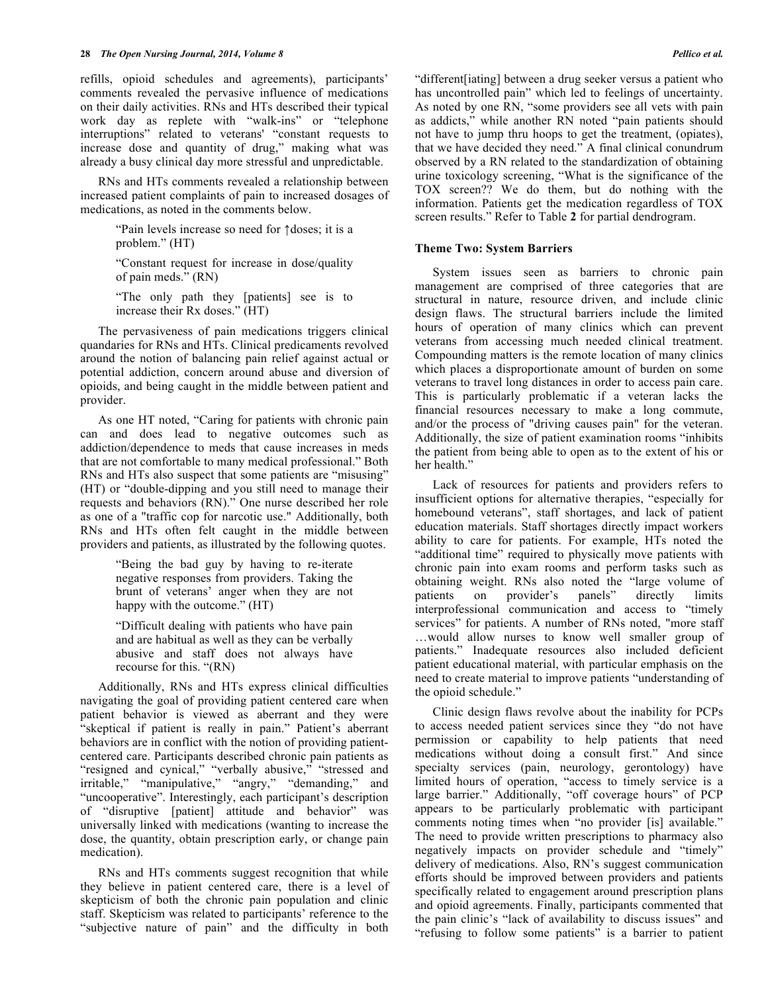refills, opioid schedules and agreements), participants' comments revealed the pervasive influence of medications on their daily activities. RNs and HTs described their typical work day as replete with "walk-ins" or "telephone interruptions" related to veterans' "constant requests to increase dose and quantity of drug," making what was already a busy clinical day more stressful and unpredictable.

RNs and HTs comments revealed a relationship between increased patient complaints of pain to increased dosages of medications, as noted in the comments below.

> "Pain levels increase so need for ↑doses; it is a problem." (HT)

> "Constant request for increase in dose/quality of pain meds." (RN)

> "The only path they [patients] see is to increase their Rx doses." (HT)

The pervasiveness of pain medications triggers clinical quandaries for RNs and HTs. Clinical predicaments revolved around the notion of balancing pain relief against actual or potential addiction, concern around abuse and diversion of opioids, and being caught in the middle between patient and provider.

As one HT noted, "Caring for patients with chronic pain can and does lead to negative outcomes such as addiction/dependence to meds that cause increases in meds that are not comfortable to many medical professional." Both RNs and HTs also suspect that some patients are "misusing" (HT) or "double-dipping and you still need to manage their requests and behaviors (RN)." One nurse described her role as one of a "traffic cop for narcotic use." Additionally, both RNs and HTs often felt caught in the middle between providers and patients, as illustrated by the following quotes.

> "Being the bad guy by having to re-iterate negative responses from providers. Taking the brunt of veterans' anger when they are not happy with the outcome." (HT)

> "Difficult dealing with patients who have pain and are habitual as well as they can be verbally abusive and staff does not always have recourse for this. "(RN)

Additionally, RNs and HTs express clinical difficulties navigating the goal of providing patient centered care when patient behavior is viewed as aberrant and they were "skeptical if patient is really in pain." Patient's aberrant behaviors are in conflict with the notion of providing patientcentered care. Participants described chronic pain patients as "resigned and cynical," "verbally abusive," "stressed and irritable," "manipulative," "angry," "demanding," and "uncooperative". Interestingly, each participant's description of "disruptive [patient] attitude and behavior" was universally linked with medications (wanting to increase the dose, the quantity, obtain prescription early, or change pain medication).

RNs and HTs comments suggest recognition that while they believe in patient centered care, there is a level of skepticism of both the chronic pain population and clinic staff. Skepticism was related to participants' reference to the "subjective nature of pain" and the difficulty in both

"different[iating] between a drug seeker versus a patient who has uncontrolled pain" which led to feelings of uncertainty. As noted by one RN, "some providers see all vets with pain as addicts," while another RN noted "pain patients should not have to jump thru hoops to get the treatment, (opiates), that we have decided they need." A final clinical conundrum observed by a RN related to the standardization of obtaining urine toxicology screening, "What is the significance of the TOX screen?? We do them, but do nothing with the information. Patients get the medication regardless of TOX screen results." Refer to Table **2** for partial dendrogram.

### **Theme Two: System Barriers**

System issues seen as barriers to chronic pain management are comprised of three categories that are structural in nature, resource driven, and include clinic design flaws. The structural barriers include the limited hours of operation of many clinics which can prevent veterans from accessing much needed clinical treatment. Compounding matters is the remote location of many clinics which places a disproportionate amount of burden on some veterans to travel long distances in order to access pain care. This is particularly problematic if a veteran lacks the financial resources necessary to make a long commute, and/or the process of "driving causes pain" for the veteran. Additionally, the size of patient examination rooms "inhibits the patient from being able to open as to the extent of his or her health."

Lack of resources for patients and providers refers to insufficient options for alternative therapies, "especially for homebound veterans", staff shortages, and lack of patient education materials. Staff shortages directly impact workers ability to care for patients. For example, HTs noted the "additional time" required to physically move patients with chronic pain into exam rooms and perform tasks such as obtaining weight. RNs also noted the "large volume of patients on provider's panels" directly limits interprofessional communication and access to "timely services" for patients. A number of RNs noted, "more staff …would allow nurses to know well smaller group of patients." Inadequate resources also included deficient patient educational material, with particular emphasis on the need to create material to improve patients "understanding of the opioid schedule."

Clinic design flaws revolve about the inability for PCPs to access needed patient services since they "do not have permission or capability to help patients that need medications without doing a consult first." And since specialty services (pain, neurology, gerontology) have limited hours of operation, "access to timely service is a large barrier." Additionally, "off coverage hours" of PCP appears to be particularly problematic with participant comments noting times when "no provider [is] available." The need to provide written prescriptions to pharmacy also negatively impacts on provider schedule and "timely" delivery of medications. Also, RN's suggest communication efforts should be improved between providers and patients specifically related to engagement around prescription plans and opioid agreements. Finally, participants commented that the pain clinic's "lack of availability to discuss issues" and "refusing to follow some patients" is a barrier to patient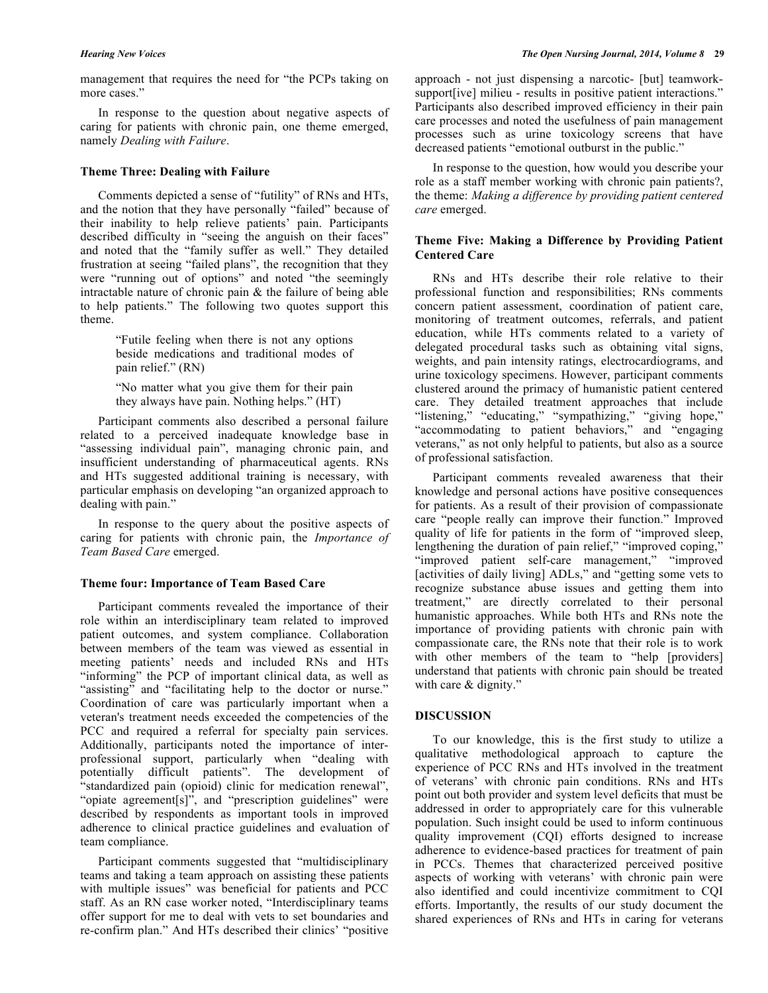management that requires the need for "the PCPs taking on more cases."

In response to the question about negative aspects of caring for patients with chronic pain, one theme emerged, namely *Dealing with Failure*.

#### **Theme Three: Dealing with Failure**

Comments depicted a sense of "futility" of RNs and HTs, and the notion that they have personally "failed" because of their inability to help relieve patients' pain. Participants described difficulty in "seeing the anguish on their faces" and noted that the "family suffer as well." They detailed frustration at seeing "failed plans", the recognition that they were "running out of options" and noted "the seemingly intractable nature of chronic pain & the failure of being able to help patients." The following two quotes support this theme.

> "Futile feeling when there is not any options beside medications and traditional modes of pain relief." (RN)

> "No matter what you give them for their pain they always have pain. Nothing helps." (HT)

Participant comments also described a personal failure related to a perceived inadequate knowledge base in "assessing individual pain", managing chronic pain, and insufficient understanding of pharmaceutical agents. RNs and HTs suggested additional training is necessary, with particular emphasis on developing "an organized approach to dealing with pain."

In response to the query about the positive aspects of caring for patients with chronic pain, the *Importance of Team Based Care* emerged.

#### **Theme four: Importance of Team Based Care**

Participant comments revealed the importance of their role within an interdisciplinary team related to improved patient outcomes, and system compliance. Collaboration between members of the team was viewed as essential in meeting patients' needs and included RNs and HTs "informing" the PCP of important clinical data, as well as "assisting" and "facilitating help to the doctor or nurse." Coordination of care was particularly important when a veteran's treatment needs exceeded the competencies of the PCC and required a referral for specialty pain services. Additionally, participants noted the importance of interprofessional support, particularly when "dealing with potentially difficult patients". The development of "standardized pain (opioid) clinic for medication renewal", "opiate agreement[s]", and "prescription guidelines" were described by respondents as important tools in improved adherence to clinical practice guidelines and evaluation of team compliance.

Participant comments suggested that "multidisciplinary teams and taking a team approach on assisting these patients with multiple issues" was beneficial for patients and PCC staff. As an RN case worker noted, "Interdisciplinary teams offer support for me to deal with vets to set boundaries and re-confirm plan." And HTs described their clinics' "positive

approach - not just dispensing a narcotic- [but] teamworksupport [ive] milieu - results in positive patient interactions." Participants also described improved efficiency in their pain care processes and noted the usefulness of pain management processes such as urine toxicology screens that have decreased patients "emotional outburst in the public."

In response to the question, how would you describe your role as a staff member working with chronic pain patients?, the theme: *Making a difference by providing patient centered care* emerged.

# **Theme Five: Making a Difference by Providing Patient Centered Care**

RNs and HTs describe their role relative to their professional function and responsibilities; RNs comments concern patient assessment, coordination of patient care, monitoring of treatment outcomes, referrals, and patient education, while HTs comments related to a variety of delegated procedural tasks such as obtaining vital signs, weights, and pain intensity ratings, electrocardiograms, and urine toxicology specimens. However, participant comments clustered around the primacy of humanistic patient centered care. They detailed treatment approaches that include "listening," "educating," "sympathizing," "giving hope," "accommodating to patient behaviors," and "engaging veterans," as not only helpful to patients, but also as a source of professional satisfaction.

Participant comments revealed awareness that their knowledge and personal actions have positive consequences for patients. As a result of their provision of compassionate care "people really can improve their function." Improved quality of life for patients in the form of "improved sleep, lengthening the duration of pain relief," "improved coping," "improved patient self-care management," "improved [activities of daily living] ADLs," and "getting some vets to recognize substance abuse issues and getting them into treatment," are directly correlated to their personal humanistic approaches. While both HTs and RNs note the importance of providing patients with chronic pain with compassionate care, the RNs note that their role is to work with other members of the team to "help [providers] understand that patients with chronic pain should be treated with care & dignity."

### **DISCUSSION**

To our knowledge, this is the first study to utilize a qualitative methodological approach to capture the experience of PCC RNs and HTs involved in the treatment of veterans' with chronic pain conditions. RNs and HTs point out both provider and system level deficits that must be addressed in order to appropriately care for this vulnerable population. Such insight could be used to inform continuous quality improvement (CQI) efforts designed to increase adherence to evidence-based practices for treatment of pain in PCCs. Themes that characterized perceived positive aspects of working with veterans' with chronic pain were also identified and could incentivize commitment to CQI efforts. Importantly, the results of our study document the shared experiences of RNs and HTs in caring for veterans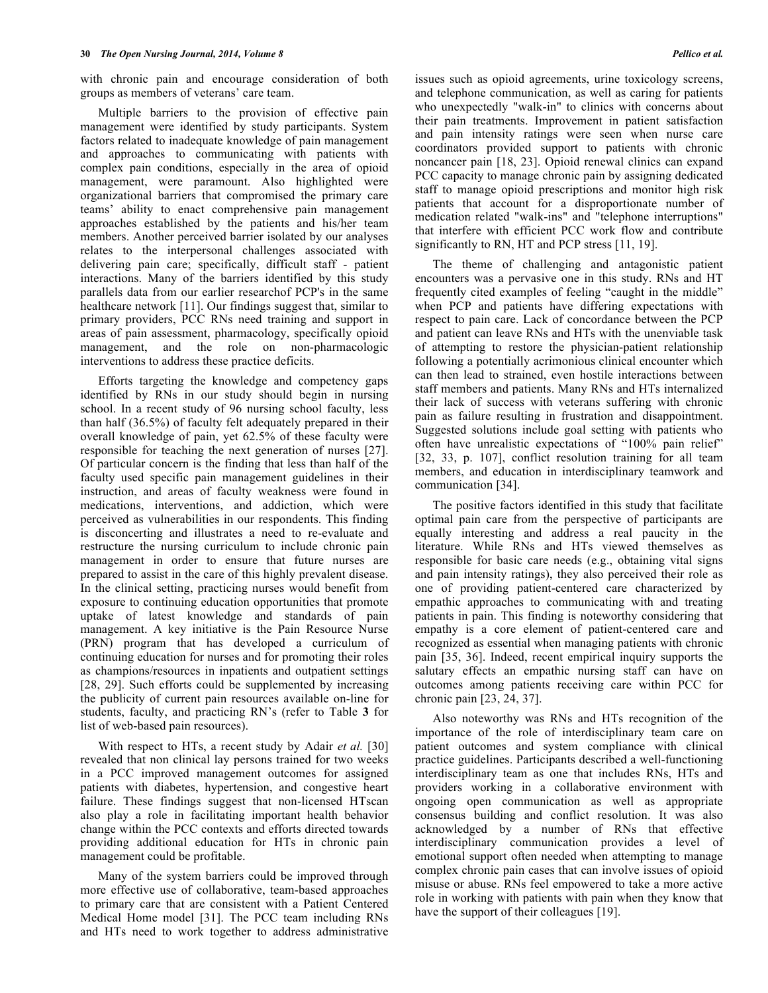with chronic pain and encourage consideration of both groups as members of veterans' care team.

Multiple barriers to the provision of effective pain management were identified by study participants. System factors related to inadequate knowledge of pain management and approaches to communicating with patients with complex pain conditions, especially in the area of opioid management, were paramount. Also highlighted were organizational barriers that compromised the primary care teams' ability to enact comprehensive pain management approaches established by the patients and his/her team members. Another perceived barrier isolated by our analyses relates to the interpersonal challenges associated with delivering pain care; specifically, difficult staff - patient interactions. Many of the barriers identified by this study parallels data from our earlier researchof PCP's in the same healthcare network [11]. Our findings suggest that, similar to primary providers, PCC RNs need training and support in areas of pain assessment, pharmacology, specifically opioid management, and the role on non-pharmacologic interventions to address these practice deficits.

Efforts targeting the knowledge and competency gaps identified by RNs in our study should begin in nursing school. In a recent study of 96 nursing school faculty, less than half (36.5%) of faculty felt adequately prepared in their overall knowledge of pain, yet 62.5% of these faculty were responsible for teaching the next generation of nurses [27]. Of particular concern is the finding that less than half of the faculty used specific pain management guidelines in their instruction, and areas of faculty weakness were found in medications, interventions, and addiction, which were perceived as vulnerabilities in our respondents. This finding is disconcerting and illustrates a need to re-evaluate and restructure the nursing curriculum to include chronic pain management in order to ensure that future nurses are prepared to assist in the care of this highly prevalent disease. In the clinical setting, practicing nurses would benefit from exposure to continuing education opportunities that promote uptake of latest knowledge and standards of pain management. A key initiative is the Pain Resource Nurse (PRN) program that has developed a curriculum of continuing education for nurses and for promoting their roles as champions/resources in inpatients and outpatient settings [28, 29]. Such efforts could be supplemented by increasing the publicity of current pain resources available on-line for students, faculty, and practicing RN's (refer to Table **3** for list of web-based pain resources).

With respect to HTs, a recent study by Adair *et al.* [30] revealed that non clinical lay persons trained for two weeks in a PCC improved management outcomes for assigned patients with diabetes, hypertension, and congestive heart failure. These findings suggest that non-licensed HTscan also play a role in facilitating important health behavior change within the PCC contexts and efforts directed towards providing additional education for HTs in chronic pain management could be profitable.

Many of the system barriers could be improved through more effective use of collaborative, team-based approaches to primary care that are consistent with a Patient Centered Medical Home model [31]. The PCC team including RNs and HTs need to work together to address administrative

issues such as opioid agreements, urine toxicology screens, and telephone communication, as well as caring for patients who unexpectedly "walk-in" to clinics with concerns about their pain treatments. Improvement in patient satisfaction and pain intensity ratings were seen when nurse care coordinators provided support to patients with chronic noncancer pain [18, 23]. Opioid renewal clinics can expand PCC capacity to manage chronic pain by assigning dedicated staff to manage opioid prescriptions and monitor high risk patients that account for a disproportionate number of medication related "walk-ins" and "telephone interruptions" that interfere with efficient PCC work flow and contribute significantly to RN, HT and PCP stress [11, 19].

The theme of challenging and antagonistic patient encounters was a pervasive one in this study. RNs and HT frequently cited examples of feeling "caught in the middle" when PCP and patients have differing expectations with respect to pain care. Lack of concordance between the PCP and patient can leave RNs and HTs with the unenviable task of attempting to restore the physician-patient relationship following a potentially acrimonious clinical encounter which can then lead to strained, even hostile interactions between staff members and patients. Many RNs and HTs internalized their lack of success with veterans suffering with chronic pain as failure resulting in frustration and disappointment. Suggested solutions include goal setting with patients who often have unrealistic expectations of "100% pain relief" [32, 33, p. 107], conflict resolution training for all team members, and education in interdisciplinary teamwork and communication [34].

The positive factors identified in this study that facilitate optimal pain care from the perspective of participants are equally interesting and address a real paucity in the literature. While RNs and HTs viewed themselves as responsible for basic care needs (e.g., obtaining vital signs and pain intensity ratings), they also perceived their role as one of providing patient-centered care characterized by empathic approaches to communicating with and treating patients in pain. This finding is noteworthy considering that empathy is a core element of patient-centered care and recognized as essential when managing patients with chronic pain [35, 36]. Indeed, recent empirical inquiry supports the salutary effects an empathic nursing staff can have on outcomes among patients receiving care within PCC for chronic pain [23, 24, 37].

Also noteworthy was RNs and HTs recognition of the importance of the role of interdisciplinary team care on patient outcomes and system compliance with clinical practice guidelines. Participants described a well-functioning interdisciplinary team as one that includes RNs, HTs and providers working in a collaborative environment with ongoing open communication as well as appropriate consensus building and conflict resolution. It was also acknowledged by a number of RNs that effective interdisciplinary communication provides a level of emotional support often needed when attempting to manage complex chronic pain cases that can involve issues of opioid misuse or abuse. RNs feel empowered to take a more active role in working with patients with pain when they know that have the support of their colleagues [19].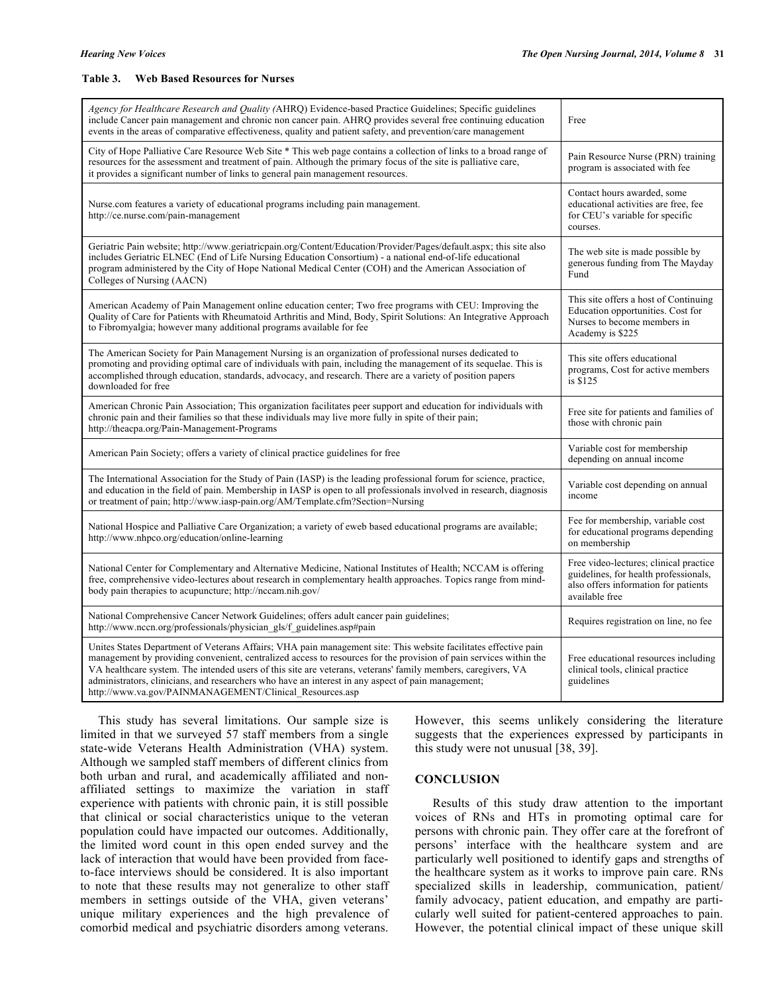#### **Table 3. Web Based Resources for Nurses**

| Agency for Healthcare Research and Quality (AHRQ) Evidence-based Practice Guidelines; Specific guidelines<br>include Cancer pain management and chronic non cancer pain. AHRQ provides several free continuing education<br>events in the areas of comparative effectiveness, quality and patient safety, and prevention/care management                                                                                                                                                                              | Free                                                                                                                                      |
|-----------------------------------------------------------------------------------------------------------------------------------------------------------------------------------------------------------------------------------------------------------------------------------------------------------------------------------------------------------------------------------------------------------------------------------------------------------------------------------------------------------------------|-------------------------------------------------------------------------------------------------------------------------------------------|
| City of Hope Palliative Care Resource Web Site * This web page contains a collection of links to a broad range of<br>resources for the assessment and treatment of pain. Although the primary focus of the site is palliative care,<br>it provides a significant number of links to general pain management resources.                                                                                                                                                                                                | Pain Resource Nurse (PRN) training<br>program is associated with fee                                                                      |
| Nurse.com features a variety of educational programs including pain management.<br>http://ce.nurse.com/pain-management                                                                                                                                                                                                                                                                                                                                                                                                | Contact hours awarded, some<br>educational activities are free, fee<br>for CEU's variable for specific<br>courses.                        |
| Geriatric Pain website; http://www.geriatricpain.org/Content/Education/Provider/Pages/default.aspx; this site also<br>includes Geriatric ELNEC (End of Life Nursing Education Consortium) - a national end-of-life educational<br>program administered by the City of Hope National Medical Center (COH) and the American Association of<br>Colleges of Nursing (AACN)                                                                                                                                                | The web site is made possible by<br>generous funding from The Mayday<br>Fund                                                              |
| American Academy of Pain Management online education center; Two free programs with CEU: Improving the<br>Quality of Care for Patients with Rheumatoid Arthritis and Mind, Body, Spirit Solutions: An Integrative Approach<br>to Fibromyalgia; however many additional programs available for fee                                                                                                                                                                                                                     | This site offers a host of Continuing<br>Education opportunities. Cost for<br>Nurses to become members in<br>Academy is \$225             |
| The American Society for Pain Management Nursing is an organization of professional nurses dedicated to<br>promoting and providing optimal care of individuals with pain, including the management of its sequelae. This is<br>accomplished through education, standards, advocacy, and research. There are a variety of position papers<br>downloaded for free                                                                                                                                                       | This site offers educational<br>programs, Cost for active members<br>is \$125                                                             |
| American Chronic Pain Association; This organization facilitates peer support and education for individuals with<br>chronic pain and their families so that these individuals may live more fully in spite of their pain;<br>http://theacpa.org/Pain-Management-Programs                                                                                                                                                                                                                                              | Free site for patients and families of<br>those with chronic pain                                                                         |
| American Pain Society; offers a variety of clinical practice guidelines for free                                                                                                                                                                                                                                                                                                                                                                                                                                      | Variable cost for membership<br>depending on annual income                                                                                |
| The International Association for the Study of Pain (IASP) is the leading professional forum for science, practice,<br>and education in the field of pain. Membership in IASP is open to all professionals involved in research, diagnosis<br>or treatment of pain; http://www.iasp-pain.org/AM/Template.cfm?Section=Nursing                                                                                                                                                                                          | Variable cost depending on annual<br>income                                                                                               |
| National Hospice and Palliative Care Organization; a variety of eweb based educational programs are available;<br>http://www.nhpco.org/education/online-learning                                                                                                                                                                                                                                                                                                                                                      | Fee for membership, variable cost<br>for educational programs depending<br>on membership                                                  |
| National Center for Complementary and Alternative Medicine, National Institutes of Health; NCCAM is offering<br>free, comprehensive video-lectures about research in complementary health approaches. Topics range from mind-<br>body pain therapies to acupuncture; http://nccam.nih.gov/                                                                                                                                                                                                                            | Free video-lectures; clinical practice<br>guidelines, for health professionals,<br>also offers information for patients<br>available free |
| National Comprehensive Cancer Network Guidelines; offers adult cancer pain guidelines;<br>http://www.nccn.org/professionals/physician_gls/f_guidelines.asp#pain                                                                                                                                                                                                                                                                                                                                                       | Requires registration on line, no fee.                                                                                                    |
| Unites States Department of Veterans Affairs; VHA pain management site: This website facilitates effective pain<br>management by providing convenient, centralized access to resources for the provision of pain services within the<br>VA healthcare system. The intended users of this site are veterans, veterans' family members, caregivers, VA<br>administrators, clinicians, and researchers who have an interest in any aspect of pain management;<br>http://www.va.gov/PAINMANAGEMENT/Clinical_Resources.asp | Free educational resources including<br>clinical tools, clinical practice<br>guidelines                                                   |

This study has several limitations. Our sample size is limited in that we surveyed 57 staff members from a single state-wide Veterans Health Administration (VHA) system. Although we sampled staff members of different clinics from both urban and rural, and academically affiliated and nonaffiliated settings to maximize the variation in staff experience with patients with chronic pain, it is still possible that clinical or social characteristics unique to the veteran population could have impacted our outcomes. Additionally, the limited word count in this open ended survey and the lack of interaction that would have been provided from faceto-face interviews should be considered. It is also important to note that these results may not generalize to other staff members in settings outside of the VHA, given veterans' unique military experiences and the high prevalence of comorbid medical and psychiatric disorders among veterans.

However, this seems unlikely considering the literature suggests that the experiences expressed by participants in this study were not unusual [38, 39].

#### **CONCLUSION**

Results of this study draw attention to the important voices of RNs and HTs in promoting optimal care for persons with chronic pain. They offer care at the forefront of persons' interface with the healthcare system and are particularly well positioned to identify gaps and strengths of the healthcare system as it works to improve pain care. RNs specialized skills in leadership, communication, patient/ family advocacy, patient education, and empathy are particularly well suited for patient-centered approaches to pain. However, the potential clinical impact of these unique skill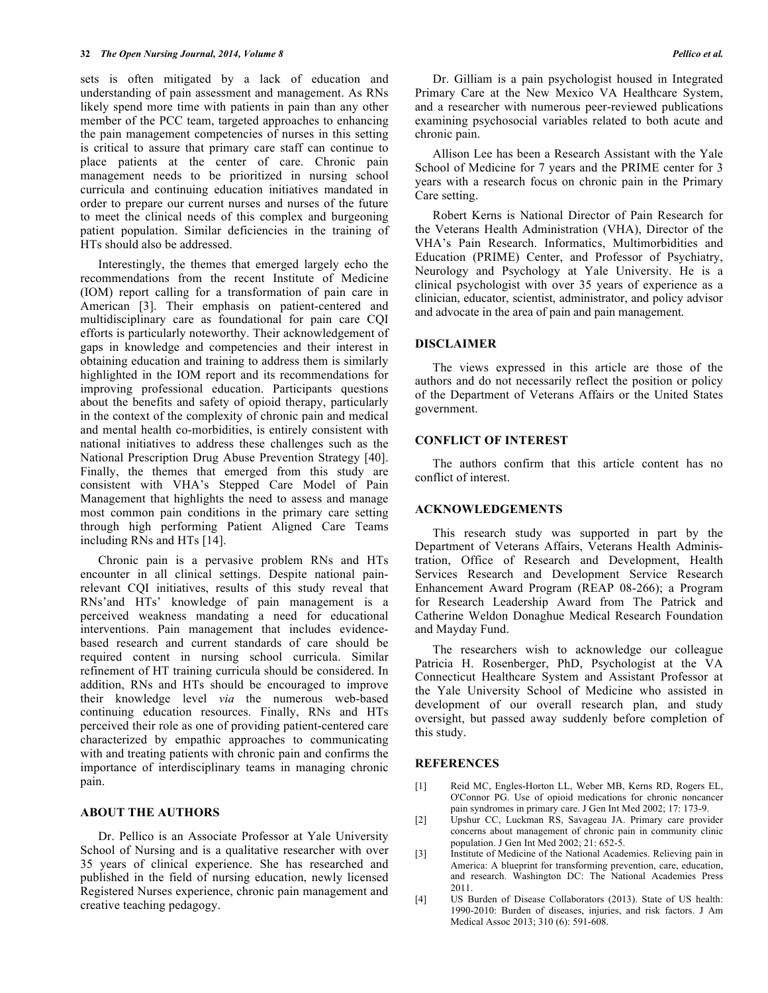sets is often mitigated by a lack of education and understanding of pain assessment and management. As RNs likely spend more time with patients in pain than any other member of the PCC team, targeted approaches to enhancing the pain management competencies of nurses in this setting is critical to assure that primary care staff can continue to place patients at the center of care. Chronic pain management needs to be prioritized in nursing school curricula and continuing education initiatives mandated in order to prepare our current nurses and nurses of the future to meet the clinical needs of this complex and burgeoning patient population. Similar deficiencies in the training of HTs should also be addressed.

Interestingly, the themes that emerged largely echo the recommendations from the recent Institute of Medicine (IOM) report calling for a transformation of pain care in American [3]. Their emphasis on patient-centered and multidisciplinary care as foundational for pain care CQI efforts is particularly noteworthy. Their acknowledgement of gaps in knowledge and competencies and their interest in obtaining education and training to address them is similarly highlighted in the IOM report and its recommendations for improving professional education. Participants questions about the benefits and safety of opioid therapy, particularly in the context of the complexity of chronic pain and medical and mental health co-morbidities, is entirely consistent with national initiatives to address these challenges such as the National Prescription Drug Abuse Prevention Strategy [40]. Finally, the themes that emerged from this study are consistent with VHA's Stepped Care Model of Pain Management that highlights the need to assess and manage most common pain conditions in the primary care setting through high performing Patient Aligned Care Teams including RNs and HTs [14].

Chronic pain is a pervasive problem RNs and HTs encounter in all clinical settings. Despite national painrelevant CQI initiatives, results of this study reveal that RNs'and HTs' knowledge of pain management is a perceived weakness mandating a need for educational interventions. Pain management that includes evidencebased research and current standards of care should be required content in nursing school curricula. Similar refinement of HT training curricula should be considered. In addition, RNs and HTs should be encouraged to improve their knowledge level *via* the numerous web-based continuing education resources. Finally, RNs and HTs perceived their role as one of providing patient-centered care characterized by empathic approaches to communicating with and treating patients with chronic pain and confirms the importance of interdisciplinary teams in managing chronic pain.

#### **ABOUT THE AUTHORS**

Dr. Pellico is an Associate Professor at Yale University School of Nursing and is a qualitative researcher with over 35 years of clinical experience. She has researched and published in the field of nursing education, newly licensed Registered Nurses experience, chronic pain management and creative teaching pedagogy.

Dr. Gilliam is a pain psychologist housed in Integrated Primary Care at the New Mexico VA Healthcare System, and a researcher with numerous peer-reviewed publications examining psychosocial variables related to both acute and chronic pain.

Allison Lee has been a Research Assistant with the Yale School of Medicine for 7 years and the PRIME center for 3 years with a research focus on chronic pain in the Primary Care setting.

Robert Kerns is National Director of Pain Research for the Veterans Health Administration (VHA), Director of the VHA's Pain Research. Informatics, Multimorbidities and Education (PRIME) Center, and Professor of Psychiatry, Neurology and Psychology at Yale University. He is a clinical psychologist with over 35 years of experience as a clinician, educator, scientist, administrator, and policy advisor and advocate in the area of pain and pain management.

#### **DISCLAIMER**

The views expressed in this article are those of the authors and do not necessarily reflect the position or policy of the Department of Veterans Affairs or the United States government.

# **CONFLICT OF INTEREST**

The authors confirm that this article content has no conflict of interest.

#### **ACKNOWLEDGEMENTS**

This research study was supported in part by the Department of Veterans Affairs, Veterans Health Administration, Office of Research and Development, Health Services Research and Development Service Research Enhancement Award Program (REAP 08-266); a Program for Research Leadership Award from The Patrick and Catherine Weldon Donaghue Medical Research Foundation and Mayday Fund.

The researchers wish to acknowledge our colleague Patricia H. Rosenberger, PhD, Psychologist at the VA Connecticut Healthcare System and Assistant Professor at the Yale University School of Medicine who assisted in development of our overall research plan, and study oversight, but passed away suddenly before completion of this study.

#### **REFERENCES**

- [1] Reid MC, Engles-Horton LL, Weber MB, Kerns RD, Rogers EL, O'Connor PG. Use of opioid medications for chronic noncancer pain syndromes in primary care. J Gen Int Med 2002; 17: 173-9.
- [2] Upshur CC, Luckman RS, Savageau JA. Primary care provider concerns about management of chronic pain in community clinic population. J Gen Int Med 2002; 21: 652-5.
- [3] Institute of Medicine of the National Academies. Relieving pain in America: A blueprint for transforming prevention, care, education, and research. Washington DC: The National Academies Press 2011.
- [4] US Burden of Disease Collaborators (2013). State of US health: 1990-2010: Burden of diseases, injuries, and risk factors. J Am Medical Assoc 2013; 310 (6): 591-608.